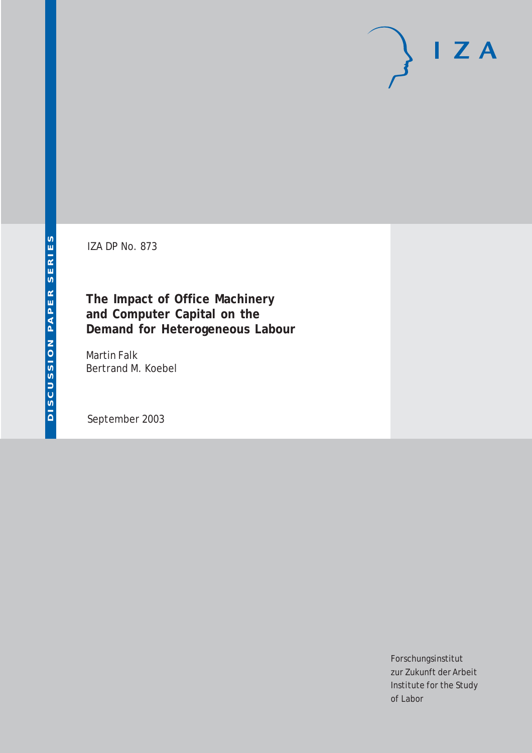# $I Z A$

IZA DP No. 873

## **The Impact of Office Machinery and Computer Capital on the Demand for Heterogeneous Labour**

Martin Falk Bertrand M. Koebel

September 2003

Forschungsinstitut zur Zukunft der Arbeit Institute for the Study of Labor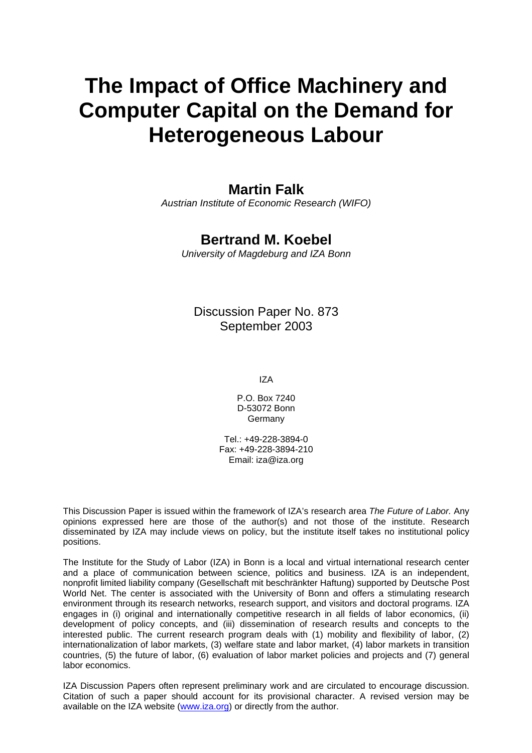# **The Impact of Office Machinery and Computer Capital on the Demand for Heterogeneous Labour**

#### **Martin Falk**

*Austrian Institute of Economic Research (WIFO)*

#### **Bertrand M. Koebel**

*University of Magdeburg and IZA Bonn*

#### Discussion Paper No. 873 September 2003

IZA

P.O. Box 7240 D-53072 Bonn Germany

Tel.: +49-228-3894-0 Fax: +49-228-3894-210 Email: [iza@iza.org](mailto:iza@iza.org)

This Discussion Paper is issued within the framework of IZA's research area *The Future of Labor.* Any opinions expressed here are those of the author(s) and not those of the institute. Research disseminated by IZA may include views on policy, but the institute itself takes no institutional policy positions.

The Institute for the Study of Labor (IZA) in Bonn is a local and virtual international research center and a place of communication between science, politics and business. IZA is an independent, nonprofit limited liability company (Gesellschaft mit beschränkter Haftung) supported by Deutsche Post World Net. The center is associated with the University of Bonn and offers a stimulating research environment through its research networks, research support, and visitors and doctoral programs. IZA engages in (i) original and internationally competitive research in all fields of labor economics, (ii) development of policy concepts, and (iii) dissemination of research results and concepts to the interested public. The current research program deals with (1) mobility and flexibility of labor, (2) internationalization of labor markets, (3) welfare state and labor market, (4) labor markets in transition countries, (5) the future of labor, (6) evaluation of labor market policies and projects and (7) general labor economics.

IZA Discussion Papers often represent preliminary work and are circulated to encourage discussion. Citation of such a paper should account for its provisional character. A revised version may be available on the IZA website ([www.iza.org](http://www.iza.org/)) or directly from the author.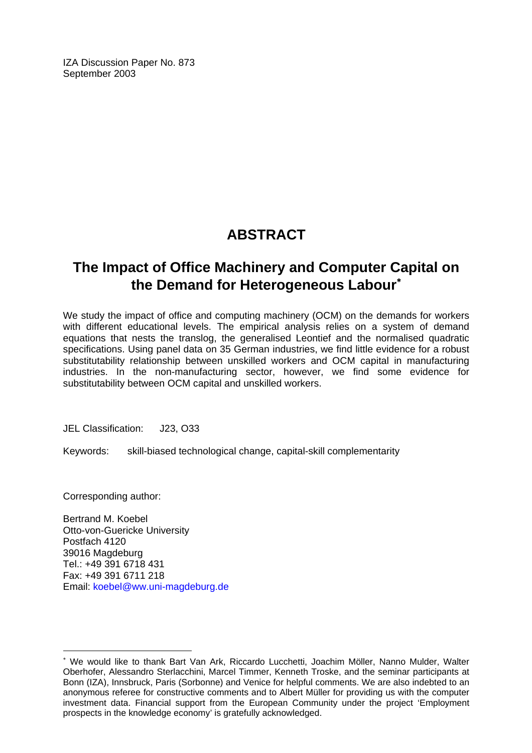IZA Discussion Paper No. 873 September 2003

# **ABSTRACT**

## **The Impact of Office Machinery and Computer Capital on the Demand for Heterogeneous Labour**[∗](#page-2-0)

We study the impact of office and computing machinery (OCM) on the demands for workers with different educational levels. The empirical analysis relies on a system of demand equations that nests the translog, the generalised Leontief and the normalised quadratic specifications. Using panel data on 35 German industries, we find little evidence for a robust substitutability relationship between unskilled workers and OCM capital in manufacturing industries. In the non-manufacturing sector, however, we find some evidence for substitutability between OCM capital and unskilled workers.

JEL Classification: J23, O33

Keywords: skill-biased technological change, capital-skill complementarity

Corresponding author:

 $\overline{a}$ 

Bertrand M. Koebel Otto-von-Guericke University Postfach 4120 39016 Magdeburg Tel.: +49 391 6718 431 Fax: +49 391 6711 218 Email: [koebel@ww.uni-magdeburg.de](mailto:koebel@ww.uni-magdeburg.de) 

<span id="page-2-0"></span><sup>∗</sup> We would like to thank Bart Van Ark, Riccardo Lucchetti, Joachim Möller, Nanno Mulder, Walter Oberhofer, Alessandro Sterlacchini, Marcel Timmer, Kenneth Troske, and the seminar participants at Bonn (IZA), Innsbruck, Paris (Sorbonne) and Venice for helpful comments. We are also indebted to an anonymous referee for constructive comments and to Albert Müller for providing us with the computer investment data. Financial support from the European Community under the project 'Employment prospects in the knowledge economy' is gratefully acknowledged.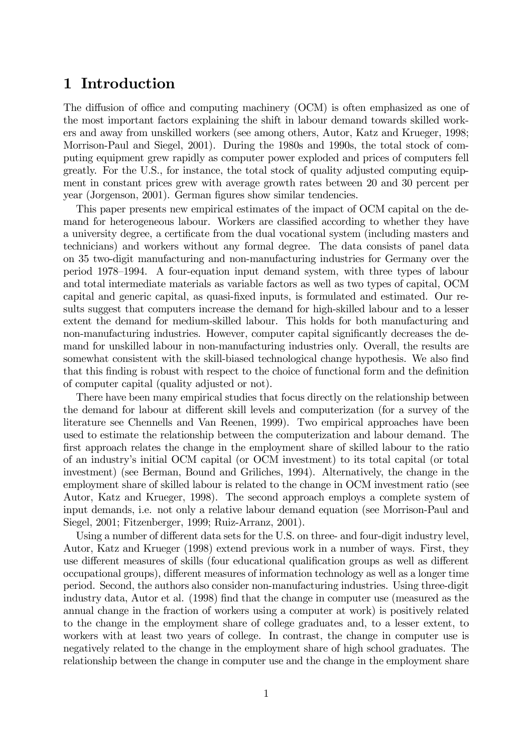#### 1 Introduction

The diffusion of office and computing machinery (OCM) is often emphasized as one of the most important factors explaining the shift in labour demand towards skilled workers and away from unskilled workers (see among others, Autor, Katz and Krueger, 1998; Morrison-Paul and Siegel, 2001). During the 1980s and 1990s, the total stock of computing equipment grew rapidly as computer power exploded and prices of computers fell greatly. For the U.S., for instance, the total stock of quality adjusted computing equipment in constant prices grew with average growth rates between 20 and 30 percent per year (Jorgenson, 2001). German figures show similar tendencies.

This paper presents new empirical estimates of the impact of OCM capital on the demand for heterogeneous labour. Workers are classified according to whether they have a university degree, a certificate from the dual vocational system (including masters and technicians) and workers without any formal degree. The data consists of panel data on 35 two-digit manufacturing and non-manufacturing industries for Germany over the period 1978—1994. A four-equation input demand system, with three types of labour and total intermediate materials as variable factors as well as two types of capital, OCM capital and generic capital, as quasi-fixed inputs, is formulated and estimated. Our results suggest that computers increase the demand for high-skilled labour and to a lesser extent the demand for medium-skilled labour. This holds for both manufacturing and non-manufacturing industries. However, computer capital significantly decreases the demand for unskilled labour in non-manufacturing industries only. Overall, the results are somewhat consistent with the skill-biased technological change hypothesis. We also find that this finding is robust with respect to the choice of functional form and the definition of computer capital (quality adjusted or not).

There have been many empirical studies that focus directly on the relationship between the demand for labour at different skill levels and computerization (for a survey of the literature see Chennells and Van Reenen, 1999). Two empirical approaches have been used to estimate the relationship between the computerization and labour demand. The first approach relates the change in the employment share of skilled labour to the ratio of an industry's initial OCM capital (or OCM investment) to its total capital (or total investment) (see Berman, Bound and Griliches, 1994). Alternatively, the change in the employment share of skilled labour is related to the change in OCM investment ratio (see Autor, Katz and Krueger, 1998). The second approach employs a complete system of input demands, i.e. not only a relative labour demand equation (see Morrison-Paul and Siegel, 2001; Fitzenberger, 1999; Ruiz-Arranz, 2001).

Using a number of different data sets for the U.S. on three- and four-digit industry level, Autor, Katz and Krueger (1998) extend previous work in a number of ways. First, they use different measures of skills (four educational qualification groups as well as different occupational groups), different measures of information technology as well as a longer time period. Second, the authors also consider non-manufacturing industries. Using three-digit industry data, Autor et al. (1998) find that the change in computer use (measured as the annual change in the fraction of workers using a computer at work) is positively related to the change in the employment share of college graduates and, to a lesser extent, to workers with at least two years of college. In contrast, the change in computer use is negatively related to the change in the employment share of high school graduates. The relationship between the change in computer use and the change in the employment share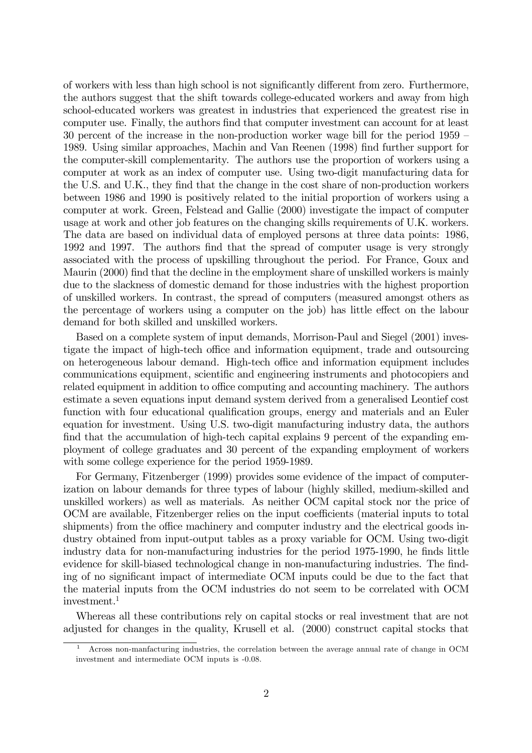of workers with less than high school is not significantly different from zero. Furthermore, the authors suggest that the shift towards college-educated workers and away from high school-educated workers was greatest in industries that experienced the greatest rise in computer use. Finally, the authors find that computer investment can account for at least 30 percent of the increase in the non-production worker wage bill for the period 1959 — 1989. Using similar approaches, Machin and Van Reenen (1998) find further support for the computer-skill complementarity. The authors use the proportion of workers using a computer at work as an index of computer use. Using two-digit manufacturing data for the U.S. and U.K., they find that the change in the cost share of non-production workers between 1986 and 1990 is positively related to the initial proportion of workers using a computer at work. Green, Felstead and Gallie (2000) investigate the impact of computer usage at work and other job features on the changing skills requirements of U.K. workers. The data are based on individual data of employed persons at three data points: 1986, 1992 and 1997. The authors find that the spread of computer usage is very strongly associated with the process of upskilling throughout the period. For France, Goux and Maurin (2000) find that the decline in the employment share of unskilled workers is mainly due to the slackness of domestic demand for those industries with the highest proportion of unskilled workers. In contrast, the spread of computers (measured amongst others as the percentage of workers using a computer on the job) has little effect on the labour demand for both skilled and unskilled workers.

Based on a complete system of input demands, Morrison-Paul and Siegel (2001) investigate the impact of high-tech office and information equipment, trade and outsourcing on heterogeneous labour demand. High-tech office and information equipment includes communications equipment, scientific and engineering instruments and photocopiers and related equipment in addition to office computing and accounting machinery. The authors estimate a seven equations input demand system derived from a generalised Leontief cost function with four educational qualification groups, energy and materials and an Euler equation for investment. Using U.S. two-digit manufacturing industry data, the authors find that the accumulation of high-tech capital explains 9 percent of the expanding employment of college graduates and 30 percent of the expanding employment of workers with some college experience for the period 1959-1989.

For Germany, Fitzenberger (1999) provides some evidence of the impact of computerization on labour demands for three types of labour (highly skilled, medium-skilled and unskilled workers) as well as materials. As neither OCM capital stock nor the price of OCM are available, Fitzenberger relies on the input coefficients (material inputs to total shipments) from the office machinery and computer industry and the electrical goods industry obtained from input-output tables as a proxy variable for OCM. Using two-digit industry data for non-manufacturing industries for the period 1975-1990, he finds little evidence for skill-biased technological change in non-manufacturing industries. The finding of no significant impact of intermediate OCM inputs could be due to the fact that the material inputs from the OCM industries do not seem to be correlated with OCM investment.1

Whereas all these contributions rely on capital stocks or real investment that are not adjusted for changes in the quality, Krusell et al. (2000) construct capital stocks that

<sup>1</sup> Across non-manfacturing industries, the correlation between the average annual rate of change in OCM investment and intermediate OCM inputs is -0.08.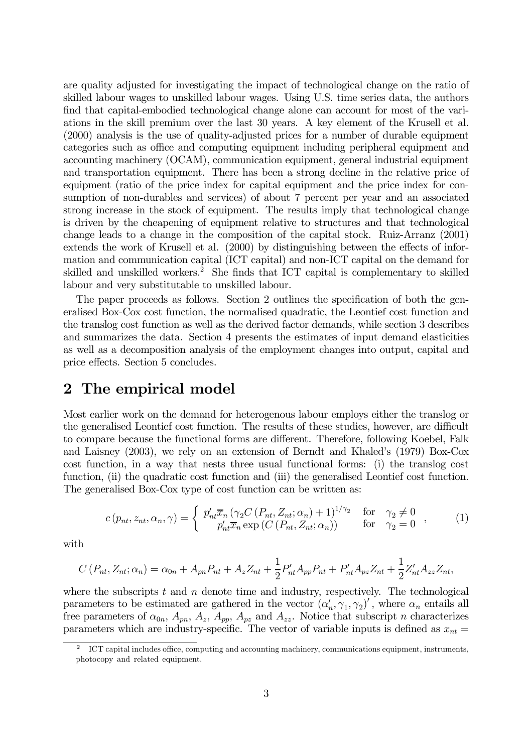are quality adjusted for investigating the impact of technological change on the ratio of skilled labour wages to unskilled labour wages. Using U.S. time series data, the authors find that capital-embodied technological change alone can account for most of the variations in the skill premium over the last 30 years. A key element of the Krusell et al. (2000) analysis is the use of quality-adjusted prices for a number of durable equipment categories such as office and computing equipment including peripheral equipment and accounting machinery (OCAM), communication equipment, general industrial equipment and transportation equipment. There has been a strong decline in the relative price of equipment (ratio of the price index for capital equipment and the price index for consumption of non-durables and services) of about 7 percent per year and an associated strong increase in the stock of equipment. The results imply that technological change is driven by the cheapening of equipment relative to structures and that technological change leads to a change in the composition of the capital stock. Ruiz-Arranz (2001) extends the work of Krusell et al. (2000) by distinguishing between the effects of information and communication capital (ICT capital) and non-ICT capital on the demand for skilled and unskilled workers.<sup>2</sup> She finds that ICT capital is complementary to skilled labour and very substitutable to unskilled labour.

The paper proceeds as follows. Section 2 outlines the specification of both the generalised Box-Cox cost function, the normalised quadratic, the Leontief cost function and the translog cost function as well as the derived factor demands, while section 3 describes and summarizes the data. Section 4 presents the estimates of input demand elasticities as well as a decomposition analysis of the employment changes into output, capital and price effects. Section 5 concludes.

#### 2 The empirical model

Most earlier work on the demand for heterogenous labour employs either the translog or the generalised Leontief cost function. The results of these studies, however, are difficult to compare because the functional forms are different. Therefore, following Koebel, Falk and Laisney (2003), we rely on an extension of Berndt and Khaled's (1979) Box-Cox cost function, in a way that nests three usual functional forms: (i) the translog cost function, (ii) the quadratic cost function and (iii) the generalised Leontief cost function. The generalised Box-Cox type of cost function can be written as:

$$
c(p_{nt}, z_{nt}, \alpha_n, \gamma) = \begin{cases} p'_{nt}\overline{x}_n \left(\gamma_2 C\left(P_{nt}, Z_{nt}; \alpha_n\right) + 1\right)^{1/\gamma_2} & \text{for } \gamma_2 \neq 0\\ p'_{nt}\overline{x}_n \exp\left(C\left(P_{nt}, Z_{nt}; \alpha_n\right)\right) & \text{for } \gamma_2 = 0 \end{cases}, \quad (1)
$$

with

$$
C(P_{nt}, Z_{nt}; \alpha_n) = \alpha_{0n} + A_{pn}P_{nt} + A_z Z_{nt} + \frac{1}{2}P'_{nt}A_{pp}P_{nt} + P'_{nt}A_{pz}Z_{nt} + \frac{1}{2}Z'_{nt}A_{zz}Z_{nt},
$$

where the subscripts t and  $n$  denote time and industry, respectively. The technological parameters to be estimated are gathered in the vector  $(\alpha'_n, \gamma_1, \gamma_2)'$ , where  $\alpha_n$  entails all free parameters of  $\alpha_{0n}$ ,  $A_{pn}$ ,  $A_{z}$ ,  $A_{pp}$ ,  $A_{pz}$  and  $A_{zz}$ . Notice that subscript *n* characterizes parameters which are industry-specific. The vector of variable inputs is defined as  $x_{nt} =$ 

<sup>2</sup> ICT capital includes office, computing and accounting machinery, communications equipment, instruments, photocopy and related equipment.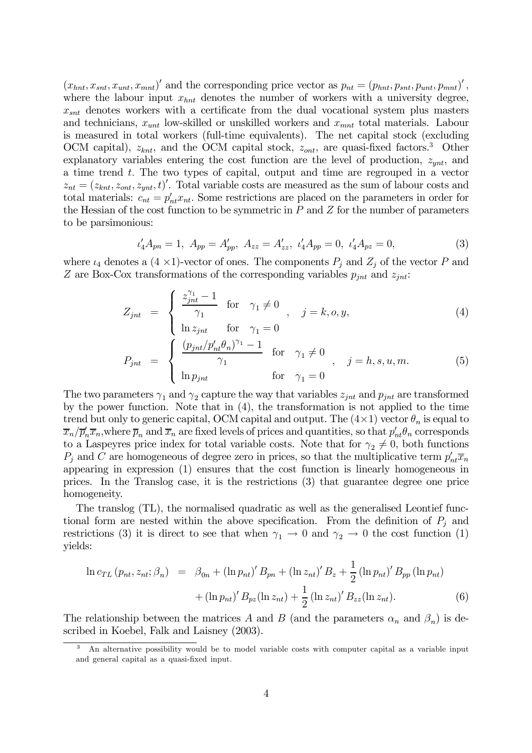$(x_{hnt}, x_{snt}, x_{unt}, x_{mnt})'$  and the corresponding price vector as  $p_{nt} = (p_{hnt}, p_{snt}, p_{unt}, p_{mnt})'$ , where the labour input  $x_{hnt}$  denotes the number of workers with a university degree,  $x_{snt}$  denotes workers with a certificate from the dual vocational system plus masters and technicians,  $x_{unt}$  low-skilled or unskilled workers and  $x_{mut}$  total materials. Labour is measured in total workers (full-time equivalents). The net capital stock (excluding OCM capital),  $z_{knt}$ , and the OCM capital stock,  $z_{ont}$ , are quasi-fixed factors.<sup>3</sup> Other explanatory variables entering the cost function are the level of production,  $z_{ynt}$ , and a time trend t. The two types of capital, output and time are regrouped in a vector  $z_{nt} = (z_{knt}, z_{ont}, z_{ynt}, t)'$ . Total variable costs are measured as the sum of labour costs and total materials:  $c_{nt} = p'_{nt}x_{nt}$ . Some restrictions are placed on the parameters in order for the Hessian of the cost function to be symmetric in  $P$  and  $Z$  for the number of parameters to be parsimonious:

$$
\iota'_4 A_{pn} = 1, \ A_{pp} = A'_{pp}, \ A_{zz} = A'_{zz}, \ \iota'_4 A_{pp} = 0, \ \iota'_4 A_{pz} = 0,\tag{3}
$$

where  $\iota_4$  denotes a  $(4 \times 1)$ -vector of ones. The components  $P_j$  and  $Z_j$  of the vector P and Z are Box-Cox transformations of the corresponding variables  $p_{int}$  and  $z_{int}$ :

$$
Z_{jnt} = \begin{cases} \frac{z_{jnt}^{\gamma_1} - 1}{\gamma_1} & \text{for } \gamma_1 \neq 0 \\ \ln z_{jnt} & \text{for } \gamma_1 = 0 \end{cases}, j = k, o, y,
$$
 (4)

$$
P_{jnt} = \begin{cases} \frac{(p_{jnt}/p'_{nt}\theta_n)^{\gamma_1} - 1}{\gamma_1} & \text{for } \gamma_1 \neq 0 \\ \ln p_{jnt} & \text{for } \gamma_1 = 0 \end{cases}, j = h, s, u, m. \tag{5}
$$

The two parameters  $\gamma_1$  and  $\gamma_2$  capture the way that variables  $z_{int}$  and  $p_{int}$  are transformed by the power function. Note that in (4), the transformation is not applied to the time trend but only to generic capital, OCM capital and output. The  $(4\times1)$  vector  $\theta_n$  is equal to  $\overline{x}_n/\overline{p}_n'\overline{x}_n$ , where  $\overline{p}_n$  and  $\overline{x}_n$  are fixed levels of prices and quantities, so that  $p'_{nt}\theta_n$  corresponds to a Laspeyres price index for total variable costs. Note that for  $\gamma_2 \neq 0$ , both functions  $P_j$  and C are homogeneous of degree zero in prices, so that the multiplicative term  $p'_{nt}\overline{x}_n$ appearing in expression (1) ensures that the cost function is linearly homogeneous in prices. In the Translog case, it is the restrictions (3) that guarantee degree one price homogeneity.

The translog (TL), the normalised quadratic as well as the generalised Leontief functional form are nested within the above specification. From the definition of  $P_j$  and restrictions (3) it is direct to see that when  $\gamma_1 \to 0$  and  $\gamma_2 \to 0$  the cost function (1) yields:

$$
\ln c_{TL} (p_{nt}, z_{nt}; \beta_n) = \beta_{0n} + (\ln p_{nt})' B_{pn} + (\ln z_{nt})' B_z + \frac{1}{2} (\ln p_{nt})' B_{pp} (\ln p_{nt}) + (\ln p_{nt})' B_{pz} (\ln z_{nt}) + \frac{1}{2} (\ln z_{nt})' B_{zz} (\ln z_{nt}).
$$
\n(6)

The relationship between the matrices A and B (and the parameters  $\alpha_n$  and  $\beta_n$ ) is described in Koebel, Falk and Laisney (2003).

<sup>3</sup> An alternative possibility would be to model variable costs with computer capital as a variable input and general capital as a quasi-fixed input.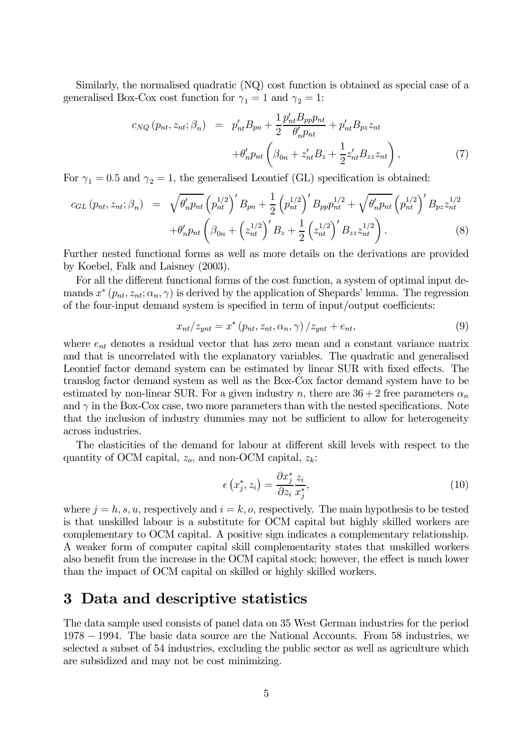Similarly, the normalised quadratic (NQ) cost function is obtained as special case of a generalised Box-Cox cost function for  $\gamma_1 = 1$  and  $\gamma_2 = 1$ :

$$
c_{NQ}(p_{nt}, z_{nt}; \beta_n) = p'_{nt}B_{pn} + \frac{1}{2} \frac{p'_{nt}B_{pp}p_{nt}}{\theta'_n p_{nt}} + p'_{nt}B_{pz}z_{nt}
$$

$$
+ \theta'_n p_{nt} \left(\beta_{0n} + z'_{nt}B_z + \frac{1}{2}z'_{nt}B_{zz}z_{nt}\right), \qquad (7)
$$

For  $\gamma_1 = 0.5$  and  $\gamma_2 = 1$ , the generalised Leontief (GL) specification is obtained:

$$
c_{GL}(p_{nt}, z_{nt}; \beta_n) = \sqrt{\theta'_n p_{nt}} \left( p_{nt}^{1/2} \right)' B_{pn} + \frac{1}{2} \left( p_{nt}^{1/2} \right)' B_{pp} p_{nt}^{1/2} + \sqrt{\theta'_n p_{nt}} \left( p_{nt}^{1/2} \right)' B_{pz} z_{nt}^{1/2} + \theta'_n p_{nt} \left( \beta_{0n} + \left( z_{nt}^{1/2} \right)' B_z + \frac{1}{2} \left( z_{nt}^{1/2} \right)' B_{zz} z_{nt}^{1/2} \right). \tag{8}
$$

Further nested functional forms as well as more details on the derivations are provided by Koebel, Falk and Laisney (2003).

For all the different functional forms of the cost function, a system of optimal input demands  $x^*(p_{nt}, z_{nt}; \alpha_n, \gamma)$  is derived by the application of Shepards' lemma. The regression of the four-input demand system is specified in term of input/output coefficients:

$$
x_{nt}/z_{ynt} = x^* (p_{nt}, z_{nt}, \alpha_n, \gamma) / z_{ynt} + e_{nt}, \qquad (9)
$$

where  $e_{nt}$  denotes a residual vector that has zero mean and a constant variance matrix and that is uncorrelated with the explanatory variables. The quadratic and generalised Leontief factor demand system can be estimated by linear SUR with fixed effects. The translog factor demand system as well as the Box-Cox factor demand system have to be estimated by non-linear SUR. For a given industry n, there are  $36 + 2$  free parameters  $\alpha_n$ and  $\gamma$  in the Box-Cox case, two more parameters than with the nested specifications. Note that the inclusion of industry dummies may not be sufficient to allow for heterogeneity across industries.

The elasticities of the demand for labour at different skill levels with respect to the quantity of OCM capital,  $z_o$ , and non-OCM capital,  $z_k$ :

$$
\epsilon\left(x_j^*, z_i\right) = \frac{\partial x_j^*}{\partial z_i} \frac{z_i}{x_j^*},\tag{10}
$$

where  $j = h, s, u$ , respectively and  $i = k, o$ , respectively. The main hypothesis to be tested is that unskilled labour is a substitute for OCM capital but highly skilled workers are complementary to OCM capital. A positive sign indicates a complementary relationship. A weaker form of computer capital skill complementarity states that unskilled workers also benefit from the increase in the OCM capital stock; however, the effect is much lower than the impact of OCM capital on skilled or highly skilled workers.

#### 3 Data and descriptive statistics

The data sample used consists of panel data on 35 West German industries for the period 1978 − 1994. The basic data source are the National Accounts. From 58 industries, we selected a subset of 54 industries, excluding the public sector as well as agriculture which are subsidized and may not be cost minimizing.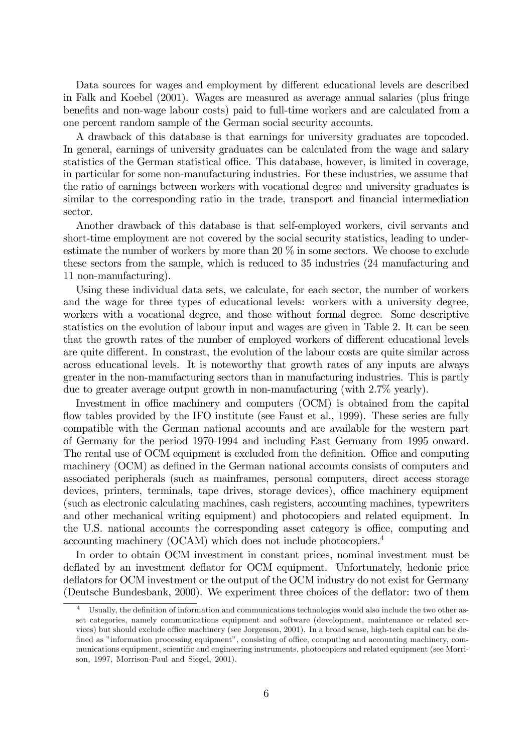Data sources for wages and employment by different educational levels are described in Falk and Koebel (2001). Wages are measured as average annual salaries (plus fringe benefits and non-wage labour costs) paid to full-time workers and are calculated from a one percent random sample of the German social security accounts.

A drawback of this database is that earnings for university graduates are topcoded. In general, earnings of university graduates can be calculated from the wage and salary statistics of the German statistical office. This database, however, is limited in coverage, in particular for some non-manufacturing industries. For these industries, we assume that the ratio of earnings between workers with vocational degree and university graduates is similar to the corresponding ratio in the trade, transport and financial intermediation sector.

Another drawback of this database is that self-employed workers, civil servants and short-time employment are not covered by the social security statistics, leading to underestimate the number of workers by more than 20 % in some sectors. We choose to exclude these sectors from the sample, which is reduced to 35 industries (24 manufacturing and 11 non-manufacturing).

Using these individual data sets, we calculate, for each sector, the number of workers and the wage for three types of educational levels: workers with a university degree, workers with a vocational degree, and those without formal degree. Some descriptive statistics on the evolution of labour input and wages are given in Table 2. It can be seen that the growth rates of the number of employed workers of different educational levels are quite different. In constrast, the evolution of the labour costs are quite similar across across educational levels. It is noteworthy that growth rates of any inputs are always greater in the non-manufacturing sectors than in manufacturing industries. This is partly due to greater average output growth in non-manufacturing (with 2.7% yearly).

Investment in office machinery and computers (OCM) is obtained from the capital flow tables provided by the IFO institute (see Faust et al., 1999). These series are fully compatible with the German national accounts and are available for the western part of Germany for the period 1970-1994 and including East Germany from 1995 onward. The rental use of OCM equipment is excluded from the definition. Office and computing machinery (OCM) as defined in the German national accounts consists of computers and associated peripherals (such as mainframes, personal computers, direct access storage devices, printers, terminals, tape drives, storage devices), office machinery equipment (such as electronic calculating machines, cash registers, accounting machines, typewriters and other mechanical writing equipment) and photocopiers and related equipment. In the U.S. national accounts the corresponding asset category is office, computing and accounting machinery (OCAM) which does not include photocopiers.4

In order to obtain OCM investment in constant prices, nominal investment must be deflated by an investment deflator for OCM equipment. Unfortunately, hedonic price deflators for OCM investment or the output of the OCM industry do not exist for Germany (Deutsche Bundesbank, 2000). We experiment three choices of the deflator: two of them

<sup>&</sup>lt;sup>4</sup> Usually, the definition of information and communications technologies would also include the two other asset categories, namely communications equipment and software (development, maintenance or related services) but should exclude office machinery (see Jorgenson, 2001). In a broad sense, high-tech capital can be defined as "information processing equipment", consisting of office, computing and accounting machinery, communications equipment, scientific and engineering instruments, photocopiers and related equipment (see Morrison, 1997, Morrison-Paul and Siegel, 2001).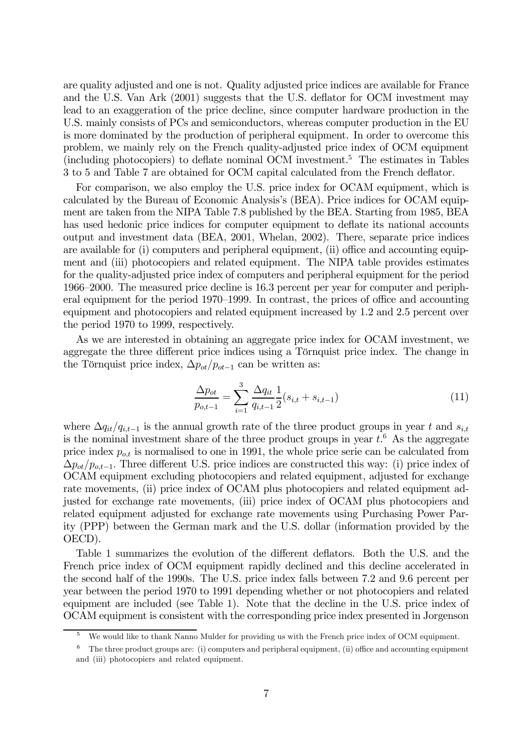are quality adjusted and one is not. Quality adjusted price indices are available for France and the U.S. Van Ark (2001) suggests that the U.S. deflator for OCM investment may lead to an exaggeration of the price decline, since computer hardware production in the U.S. mainly consists of PCs and semiconductors, whereas computer production in the EU is more dominated by the production of peripheral equipment. In order to overcome this problem, we mainly rely on the French quality-adjusted price index of OCM equipment (including photocopiers) to deflate nominal OCM investment.5 The estimates in Tables 3 to 5 and Table 7 are obtained for OCM capital calculated from the French deflator.

For comparison, we also employ the U.S. price index for OCAM equipment, which is calculated by the Bureau of Economic Analysis's (BEA). Price indices for OCAM equipment are taken from the NIPA Table 7.8 published by the BEA. Starting from 1985, BEA has used hedonic price indices for computer equipment to deflate its national accounts output and investment data (BEA, 2001, Whelan, 2002). There, separate price indices are available for (i) computers and peripheral equipment, (ii) office and accounting equipment and (iii) photocopiers and related equipment. The NIPA table provides estimates for the quality-adjusted price index of computers and peripheral equipment for the period 1966—2000. The measured price decline is 16.3 percent per year for computer and peripheral equipment for the period 1970—1999. In contrast, the prices of office and accounting equipment and photocopiers and related equipment increased by 1.2 and 2.5 percent over the period 1970 to 1999, respectively.

As we are interested in obtaining an aggregate price index for OCAM investment, we aggregate the three different price indices using a Törnquist price index. The change in the Törnquist price index,  $\Delta p_{ot}/p_{ot-1}$  can be written as:

$$
\frac{\Delta p_{ot}}{p_{o,t-1}} = \sum_{i=1}^{3} \frac{\Delta q_{it}}{q_{i,t-1}} \frac{1}{2} (s_{i,t} + s_{i,t-1})
$$
\n(11)

where  $\Delta q_{it}/q_{i,t-1}$  is the annual growth rate of the three product groups in year t and  $s_{i,t}$ is the nominal investment share of the three product groups in year  $t$ .<sup>6</sup> As the aggregate price index  $p_{o,t}$  is normalised to one in 1991, the whole price serie can be calculated from  $\Delta p_{ot}/p_{o,t-1}$ . Three different U.S. price indices are constructed this way: (i) price index of OCAM equipment excluding photocopiers and related equipment, adjusted for exchange rate movements, (ii) price index of OCAM plus photocopiers and related equipment adjusted for exchange rate movements, (iii) price index of OCAM plus photocopiers and related equipment adjusted for exchange rate movements using Purchasing Power Parity (PPP) between the German mark and the U.S. dollar (information provided by the OECD).

Table 1 summarizes the evolution of the different deflators. Both the U.S. and the French price index of OCM equipment rapidly declined and this decline accelerated in the second half of the 1990s. The U.S. price index falls between 7.2 and 9.6 percent per year between the period 1970 to 1991 depending whether or not photocopiers and related equipment are included (see Table 1). Note that the decline in the U.S. price index of OCAM equipment is consistent with the corresponding price index presented in Jorgenson

We would like to thank Nanno Mulder for providing us with the French price index of OCM equipment.

 $6$  The three product groups are: (i) computers and peripheral equipment, (ii) office and accounting equipment and (iii) photocopiers and related equipment.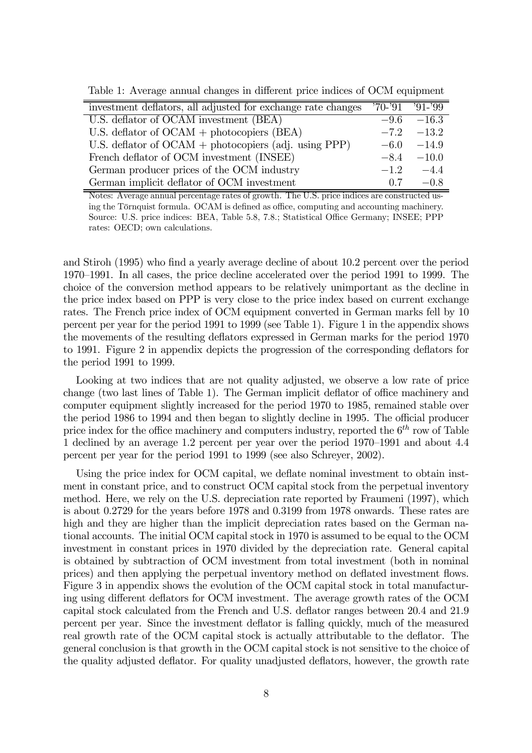Table 1: Average annual changes in different price indices of OCM equipment

| investment deflators, all adjusted for exchange rate changes | $'70-'91$ $'91-'99$ |                |
|--------------------------------------------------------------|---------------------|----------------|
| U.S. deflator of OCAM investment (BEA)                       |                     | $-9.6 - 16.3$  |
| U.S. deflator of $OCAM + photocopiers (BEA)$                 |                     | $-7.2$ $-13.2$ |
| U.S. deflator of $OCAM + photocopiers$ (adj. using PPP)      | $-6.0$              | $-14.9$        |
| French deflator of OCM investment (INSEE)                    | $-8.4$              | $-10.0$        |
| German producer prices of the OCM industry                   | $-1.2$              | $-4.4$         |
| German implicit deflator of OCM investment                   | 0.7                 | $-0.8$         |

Notes: Average annual percentage rates of growth. The U.S. price indices are constructed using the Törnquist formula. OCAM is defined as office, computing and accounting machinery. Source: U.S. price indices: BEA, Table 5.8, 7.8.; Statistical Office Germany; INSEE; PPP rates: OECD; own calculations.

and Stiroh (1995) who find a yearly average decline of about 10.2 percent over the period 1970—1991. In all cases, the price decline accelerated over the period 1991 to 1999. The choice of the conversion method appears to be relatively unimportant as the decline in the price index based on PPP is very close to the price index based on current exchange rates. The French price index of OCM equipment converted in German marks fell by 10 percent per year for the period 1991 to 1999 (see Table 1). Figure 1 in the appendix shows the movements of the resulting deflators expressed in German marks for the period 1970 to 1991. Figure 2 in appendix depicts the progression of the corresponding deflators for the period 1991 to 1999.

Looking at two indices that are not quality adjusted, we observe a low rate of price change (two last lines of Table 1). The German implicit deflator of office machinery and computer equipment slightly increased for the period 1970 to 1985, remained stable over the period 1986 to 1994 and then began to slightly decline in 1995. The official producer price index for the office machinery and computers industry, reported the  $6<sup>th</sup>$  row of Table 1 declined by an average 1.2 percent per year over the period 1970—1991 and about 4.4 percent per year for the period 1991 to 1999 (see also Schreyer, 2002).

Using the price index for OCM capital, we deflate nominal investment to obtain instment in constant price, and to construct OCM capital stock from the perpetual inventory method. Here, we rely on the U.S. depreciation rate reported by Fraumeni (1997), which is about 0.2729 for the years before 1978 and 0.3199 from 1978 onwards. These rates are high and they are higher than the implicit depreciation rates based on the German national accounts. The initial OCM capital stock in 1970 is assumed to be equal to the OCM investment in constant prices in 1970 divided by the depreciation rate. General capital is obtained by subtraction of OCM investment from total investment (both in nominal prices) and then applying the perpetual inventory method on deflated investment flows. Figure 3 in appendix shows the evolution of the OCM capital stock in total manufacturing using different deflators for OCM investment. The average growth rates of the OCM capital stock calculated from the French and U.S. deflator ranges between 20.4 and 21.9 percent per year. Since the investment deflator is falling quickly, much of the measured real growth rate of the OCM capital stock is actually attributable to the deflator. The general conclusion is that growth in the OCM capital stock is not sensitive to the choice of the quality adjusted deflator. For quality unadjusted deflators, however, the growth rate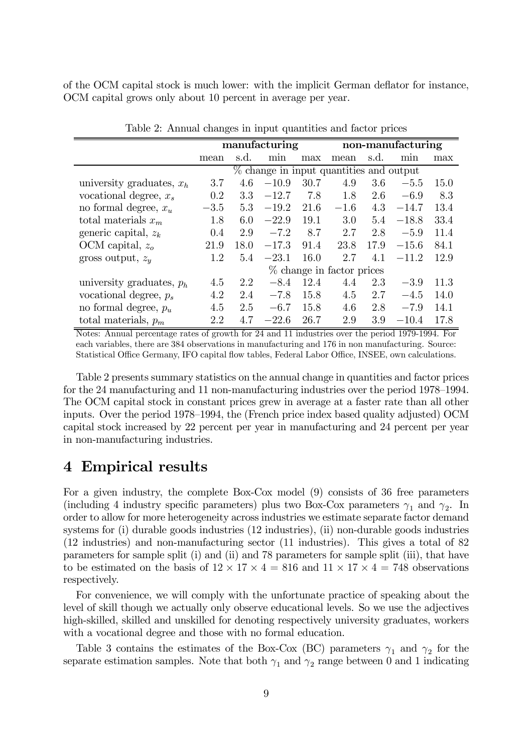of the OCM capital stock is much lower: with the implicit German deflator for instance, OCM capital grows only about 10 percent in average per year.

|                             | manufacturing                           |      |         | non-manufacturing |                           |      |         |      |
|-----------------------------|-----------------------------------------|------|---------|-------------------|---------------------------|------|---------|------|
|                             | mean                                    | s.d. | min     | max               | mean                      | s.d. | min     | max  |
|                             | % change in input quantities and output |      |         |                   |                           |      |         |      |
| university graduates, $x_h$ | 3.7                                     | 4.6  | $-10.9$ | 30.7              | 4.9                       | 3.6  | $-5.5$  | 15.0 |
| vocational degree, $x_s$    | 0.2                                     | 3.3  | $-12.7$ | 7.8               | 1.8                       | 2.6  | $-6.9$  | 8.3  |
| no formal degree, $x_u$     | $-3.5$                                  | 5.3  | $-19.2$ | 21.6              | $-1.6$                    | 4.3  | $-14.7$ | 13.4 |
| total materials $x_m$       | 1.8                                     | 6.0  | $-22.9$ | 19.1              | 3.0                       | 5.4  | $-18.8$ | 33.4 |
| generic capital, $z_k$      | 0.4                                     | 2.9  | $-7.2$  | 8.7               | 2.7                       | 2.8  | $-5.9$  | 11.4 |
| OCM capital, $z_o$          | 21.9                                    | 18.0 | $-17.3$ | 91.4              | 23.8                      | 17.9 | $-15.6$ | 84.1 |
| gross output, $z_u$         | 1.2                                     | 5.4  | $-23.1$ | 16.0              | 2.7                       | 4.1  | $-11.2$ | 12.9 |
|                             |                                         |      |         |                   | % change in factor prices |      |         |      |
| university graduates, $p_h$ | 4.5                                     | 2.2  | $-8.4$  | 12.4              | 4.4                       | 2.3  | $-3.9$  | 11.3 |
| vocational degree, $p_s$    | 4.2                                     | 2.4  | $-7.8$  | 15.8              | 4.5                       | 2.7  | $-4.5$  | 14.0 |
| no formal degree, $p_u$     | 4.5                                     | 2.5  | $-6.7$  | 15.8              | 4.6                       | 2.8  | $-7.9$  | 14.1 |
| total materials, $p_m$      | 2.2                                     | 4.7  | $-22.6$ | 26.7              | 2.9                       | 3.9  | $-10.4$ | 17.8 |

Table 2: Annual changes in input quantities and factor prices

Notes: Annual percentage rates of growth for 24 and 11 industries over the period 1979-1994. For each variables, there are 384 observations in manufacturing and 176 in non manufacturing. Source: Statistical Office Germany, IFO capital flow tables, Federal Labor Office, INSEE, own calculations.

Table 2 presents summary statistics on the annual change in quantities and factor prices for the 24 manufacturing and 11 non-manufacturing industries over the period 1978—1994. The OCM capital stock in constant prices grew in average at a faster rate than all other inputs. Over the period 1978—1994, the (French price index based quality adjusted) OCM capital stock increased by 22 percent per year in manufacturing and 24 percent per year in non-manufacturing industries.

#### 4 Empirical results

For a given industry, the complete Box-Cox model (9) consists of 36 free parameters (including 4 industry specific parameters) plus two Box-Cox parameters  $\gamma_1$  and  $\gamma_2$ . In order to allow for more heterogeneity across industries we estimate separate factor demand systems for (i) durable goods industries (12 industries), (ii) non-durable goods industries (12 industries) and non-manufacturing sector (11 industries). This gives a total of 82 parameters for sample split (i) and (ii) and 78 parameters for sample split (iii), that have to be estimated on the basis of  $12 \times 17 \times 4 = 816$  and  $11 \times 17 \times 4 = 748$  observations respectively.

For convenience, we will comply with the unfortunate practice of speaking about the level of skill though we actually only observe educational levels. So we use the adjectives high-skilled, skilled and unskilled for denoting respectively university graduates, workers with a vocational degree and those with no formal education.

Table 3 contains the estimates of the Box-Cox (BC) parameters  $\gamma_1$  and  $\gamma_2$  for the separate estimation samples. Note that both  $\gamma_1$  and  $\gamma_2$  range between 0 and 1 indicating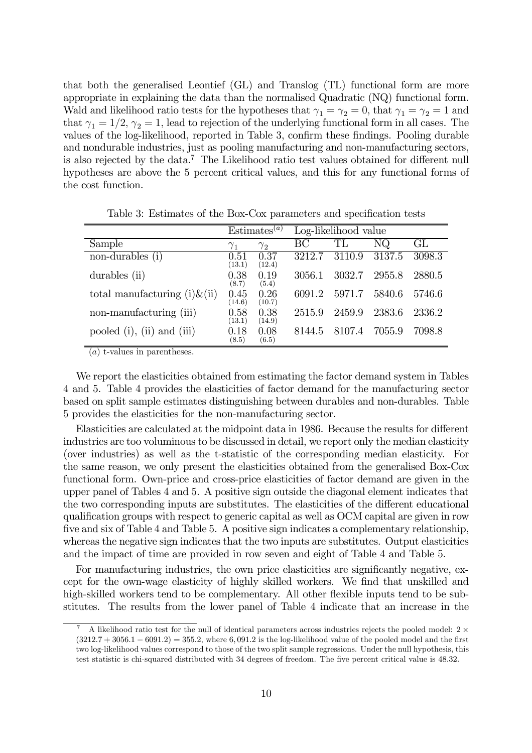that both the generalised Leontief (GL) and Translog (TL) functional form are more appropriate in explaining the data than the normalised Quadratic (NQ) functional form. Wald and likelihood ratio tests for the hypotheses that  $\gamma_1 = \gamma_2 = 0$ , that  $\gamma_1 = \gamma_2 = 1$  and that  $\gamma_1 = 1/2$ ,  $\gamma_2 = 1$ , lead to rejection of the underlying functional form in all cases. The values of the log-likelihood, reported in Table 3, confirm these findings. Pooling durable and nondurable industries, just as pooling manufacturing and non-manufacturing sectors, is also rejected by the data.7 The Likelihood ratio test values obtained for different null hypotheses are above the 5 percent critical values, and this for any functional forms of the cost function.

|                                       | Estimates <sup><math>(a)</math></sup> |                | Log-likelihood value |        |        |                     |
|---------------------------------------|---------------------------------------|----------------|----------------------|--------|--------|---------------------|
| Sample                                | $\gamma_1$                            | $\gamma_2$     | BC                   | TL     | NQ.    | $\mathrm{GL}% _{n}$ |
| non-durables (i)                      | 0.51<br>(13.1)                        | 0.37<br>(12.4) | 3212.7               | 3110.9 | 3137.5 | 3098.3              |
| durables (ii)                         | 0.38<br>(8.7)                         | 0.19<br>(5.4)  | 3056.1               | 3032.7 | 2955.8 | 2880.5              |
| total manufacturing $(i)$ $\&$ $(ii)$ | 0.45<br>(14.6)                        | 0.26<br>(10.7) | 6091.2               | 5971.7 | 5840.6 | 5746.6              |
| non-manufacturing (iii)               | 0.58<br>(13.1)                        | 0.38<br>(14.9) | 2515.9               | 2459.9 | 2383.6 | 2336.2              |
| pooled $(i)$ , $(ii)$ and $(iii)$     | 0.18<br>(8.5)                         | 0.08<br>(6.5)  | 8144.5               | 8107.4 | 7055.9 | 7098.8              |

Table 3: Estimates of the Box-Cox parameters and specification tests

(a) t-values in parentheses.

We report the elasticities obtained from estimating the factor demand system in Tables 4 and 5. Table 4 provides the elasticities of factor demand for the manufacturing sector based on split sample estimates distinguishing between durables and non-durables. Table 5 provides the elasticities for the non-manufacturing sector.

Elasticities are calculated at the midpoint data in 1986. Because the results for different industries are too voluminous to be discussed in detail, we report only the median elasticity (over industries) as well as the t-statistic of the corresponding median elasticity. For the same reason, we only present the elasticities obtained from the generalised Box-Cox functional form. Own-price and cross-price elasticities of factor demand are given in the upper panel of Tables 4 and 5. A positive sign outside the diagonal element indicates that the two corresponding inputs are substitutes. The elasticities of the different educational qualification groups with respect to generic capital as well as OCM capital are given in row five and six of Table 4 and Table 5. A positive sign indicates a complementary relationship, whereas the negative sign indicates that the two inputs are substitutes. Output elasticities and the impact of time are provided in row seven and eight of Table 4 and Table 5.

For manufacturing industries, the own price elasticities are significantly negative, except for the own-wage elasticity of highly skilled workers. We find that unskilled and high-skilled workers tend to be complementary. All other flexible inputs tend to be substitutes. The results from the lower panel of Table 4 indicate that an increase in the

A likelihood ratio test for the null of identical parameters across industries rejects the pooled model:  $2 \times$  $(3212.7 + 3056.1 - 6091.2) = 355.2$ , where 6, 091.2 is the log-likelihood value of the pooled model and the first two log-likelihood values correspond to those of the two split sample regressions. Under the null hypothesis, this test statistic is chi-squared distributed with 34 degrees of freedom. The five percent critical value is 48.32.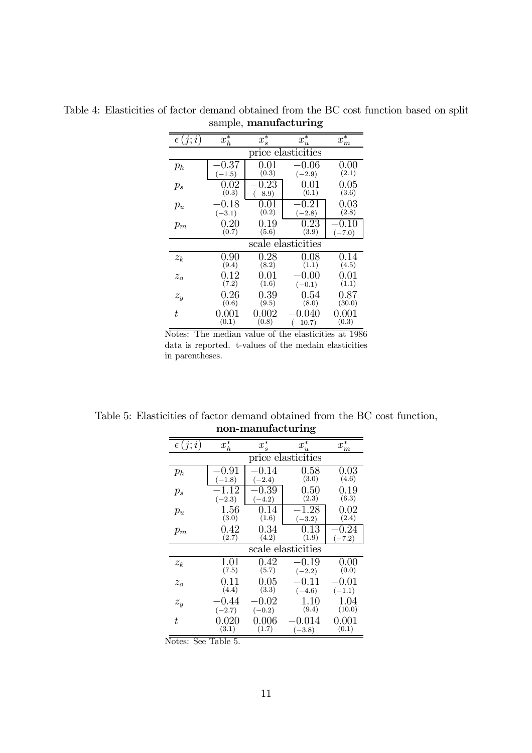|                    | $\sim$ $\sim$ |            |                    |          |  |  |  |  |
|--------------------|---------------|------------|--------------------|----------|--|--|--|--|
| $\epsilon(j;i)$    | $x_h^*$       | $x_s^*$    | $x_u^*$            | $x_m^*$  |  |  |  |  |
| price elasticities |               |            |                    |          |  |  |  |  |
| $p_h$              | $0.37\,$      | $\rm 0.01$ | $-0.06\,$          | $0.00\,$ |  |  |  |  |
|                    | $(-1.5)$      | (0.3)      | $(-2.9)$           | (2.1)    |  |  |  |  |
| $p_s$              | 0.02          | $0.23\,$   | 0.01               | 0.05     |  |  |  |  |
|                    | (0.3)         | $(-8.9)$   | (0.1)              | (3.6)    |  |  |  |  |
| $p_u$              | -0.18         | 0.01       | 0.21               | 0.03     |  |  |  |  |
|                    | $(-3.1)$      | (0.2)      | $(-2.8)$           | (2.8)    |  |  |  |  |
| $p_m$              | 0.20          | 0.19       | 0.23               | 0.10     |  |  |  |  |
|                    | (0.7)         | (5.6)      | (3.9)              | $(-7.0)$ |  |  |  |  |
|                    |               |            | scale elasticities |          |  |  |  |  |
| $z_k$              | 0.90          | 0.28       | 0.08               | 0.14     |  |  |  |  |
|                    | (9.4)         | (8.2)      | (1.1)              | (4.5)    |  |  |  |  |
| $z_o$              | $\rm 0.12$    | 0.01       | $-0.00$            | 0.01     |  |  |  |  |
|                    | (7.2)         | (1.6)      | $(-0.1)$           | (1.1)    |  |  |  |  |
| $\boldsymbol{z_y}$ | $0.26\,$      | 0.39       | 0.54               | 0.87     |  |  |  |  |
|                    | (0.6)         | (9.5)      | (8.0)              | (30.0)   |  |  |  |  |
| t                  | $0.001\,$     | 0.002      | -0.040             | 0.001    |  |  |  |  |
|                    | (0.1)         | (0.8)      | $(-10.7)$          | (0.3)    |  |  |  |  |

Table 4: Elasticities of factor demand obtained from the BC cost function based on split sample, manufacturing

Notes: The median value of the elasticities at 1986 data is reported. t-values of the medain elasticities in parentheses.

Table 5: Elasticities of factor demand obtained from the BC cost function, non-manufacturing

| $\epsilon(j;i)$    | $x_h^*$            | $x_s^*$   | $x_u^*$            | $x_m^*$  |  |  |  |
|--------------------|--------------------|-----------|--------------------|----------|--|--|--|
|                    | price elasticities |           |                    |          |  |  |  |
| $p_h$              | 0.91               | $-0.14\,$ | 0.58               | $0.03\,$ |  |  |  |
|                    | $(-1.8)$           | $(-2.4)$  | (3.0)              | (4.6)    |  |  |  |
| $p_s$              | $-1.12\,$          | 0.39      | $0.50\,$           | 0.19     |  |  |  |
|                    | $(-2.3)$           | $(-4.2)$  | (2.3)              | (6.3)    |  |  |  |
| $p_u$              | 1.56               | 0.14      | -1.28              | 0.02     |  |  |  |
|                    | (3.0)              | (1.6)     | $(-3.2)$           | (2.4)    |  |  |  |
| $p_m$              | 0.42               | 0.34      | $0.13\,$           | 0.24     |  |  |  |
|                    | (2.7)              | (4.2)     | (1.9)              | $(-7.2)$ |  |  |  |
|                    |                    |           | scale elasticities |          |  |  |  |
| $z_k$              | 1.01               | 0.42      | $-0.19$            | 0.00     |  |  |  |
|                    | (7.5)              | (5.7)     | $(-2.2)$           | (0.0)    |  |  |  |
| $z_o$              | 0.11               | 0.05      | $-0.11$            | -0.01    |  |  |  |
|                    | (4.4)              | (3.3)     | $(-4.6)$           | $(-1.1)$ |  |  |  |
| $\boldsymbol{z_y}$ | -0.44              | $-0.02\,$ | 1.10               | 1.04     |  |  |  |
|                    | $(-2.7)$           | $(-0.2)$  | (9.4)              | (10.0)   |  |  |  |
| t.                 | 0.020              | 0.006     | 0.014              | 0.001    |  |  |  |
|                    | (3.1)              | (1.7)     | $(-3.8)$           | (0.1)    |  |  |  |

Notes: See Table 5.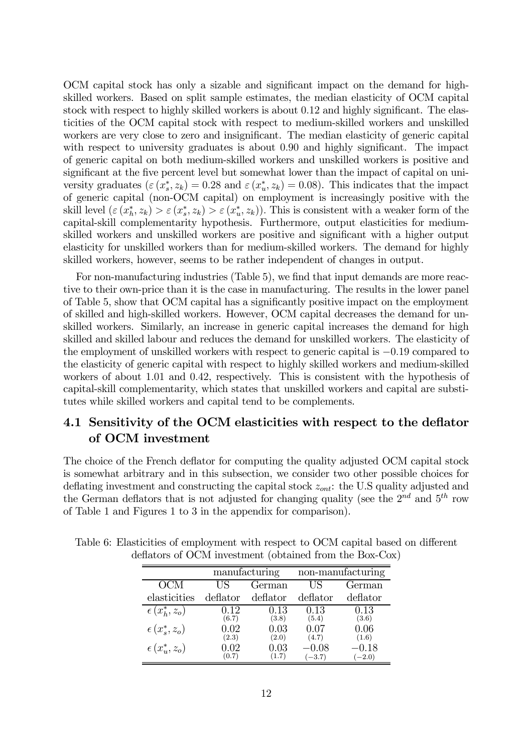OCM capital stock has only a sizable and significant impact on the demand for highskilled workers. Based on split sample estimates, the median elasticity of OCM capital stock with respect to highly skilled workers is about 0.12 and highly significant. The elasticities of the OCM capital stock with respect to medium-skilled workers and unskilled workers are very close to zero and insignificant. The median elasticity of generic capital with respect to university graduates is about 0.90 and highly significant. The impact of generic capital on both medium-skilled workers and unskilled workers is positive and significant at the five percent level but somewhat lower than the impact of capital on university graduates  $(\varepsilon(x_s^*, z_k) = 0.28$  and  $\varepsilon(x_u^*, z_k) = 0.08)$ . This indicates that the impact of generic capital (non-OCM capital) on employment is increasingly positive with the skill level  $(\varepsilon (x_h^*, z_k) > \varepsilon (x_s^*, z_k) > \varepsilon (x_u^*, z_k))$ . This is consistent with a weaker form of the capital-skill complementarity hypothesis. Furthermore, output elasticities for mediumskilled workers and unskilled workers are positive and significant with a higher output elasticity for unskilled workers than for medium-skilled workers. The demand for highly skilled workers, however, seems to be rather independent of changes in output.

For non-manufacturing industries (Table 5), we find that input demands are more reactive to their own-price than it is the case in manufacturing. The results in the lower panel of Table 5, show that OCM capital has a significantly positive impact on the employment of skilled and high-skilled workers. However, OCM capital decreases the demand for unskilled workers. Similarly, an increase in generic capital increases the demand for high skilled and skilled labour and reduces the demand for unskilled workers. The elasticity of the employment of unskilled workers with respect to generic capital is −0.19 compared to the elasticity of generic capital with respect to highly skilled workers and medium-skilled workers of about 1.01 and 0.42, respectively. This is consistent with the hypothesis of capital-skill complementarity, which states that unskilled workers and capital are substitutes while skilled workers and capital tend to be complements.

#### 4.1 Sensitivity of the OCM elasticities with respect to the deflator of OCM investment

The choice of the French deflator for computing the quality adjusted OCM capital stock is somewhat arbitrary and in this subsection, we consider two other possible choices for deflating investment and constructing the capital stock  $z_{ont}$ : the U.S quality adjusted and the German deflators that is not adjusted for changing quality (see the  $2^{nd}$  and  $5^{th}$  row of Table 1 and Figures 1 to 3 in the appendix for comparison).

|                        | manufacturing |          |          | non-manufacturing |
|------------------------|---------------|----------|----------|-------------------|
| OCM                    | US            | German   | US       | German            |
| elasticities           | deflator      | deflator | deflator | deflator          |
| $\epsilon(x_h^*, z_o)$ | $\rm 0.12$    | $0.13\,$ | 0.13     | $0.13\,$          |
|                        | (6.7)         | (3.8)    | (5.4)    | (3.6)             |
| $\epsilon(x_s^*,z_o)$  | 0.02          | 0.03     | 0.07     | 0.06              |
|                        | (2.3)         | (2.0)    | (4.7)    | (1.6)             |
| $\epsilon(x_u^*, z_o)$ | .02           | 9.03     | 0.08     | -0.18             |
|                        | (0.7)         | (1.7)    | $(-3.7)$ | $(-2.0)$          |

Table 6: Elasticities of employment with respect to OCM capital based on different deflators of OCM investment (obtained from the Box-Cox)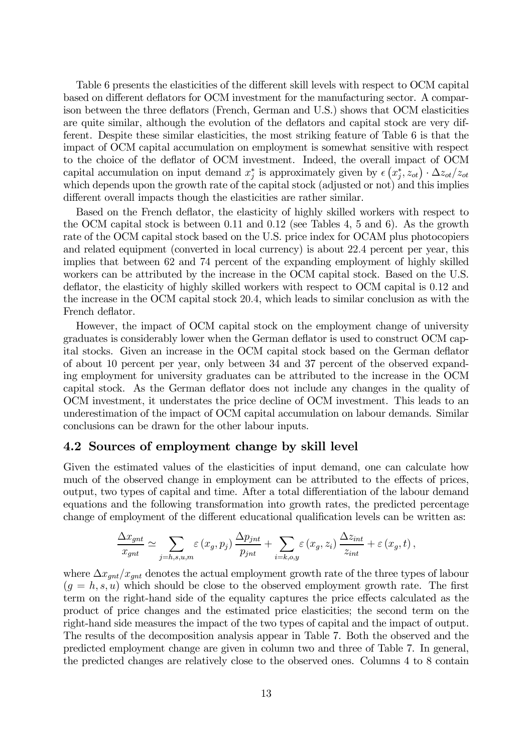Table 6 presents the elasticities of the different skill levels with respect to OCM capital based on different deflators for OCM investment for the manufacturing sector. A comparison between the three deflators (French, German and U.S.) shows that OCM elasticities are quite similar, although the evolution of the deflators and capital stock are very different. Despite these similar elasticities, the most striking feature of Table 6 is that the impact of OCM capital accumulation on employment is somewhat sensitive with respect to the choice of the deflator of OCM investment. Indeed, the overall impact of OCM capital accumulation on input demand  $x_j^*$  is approximately given by  $\epsilon(x_j^*, z_{ot}) \cdot \Delta z_{ot}/z_{ot}$ which depends upon the growth rate of the capital stock (adjusted or not) and this implies different overall impacts though the elasticities are rather similar.

Based on the French deflator, the elasticity of highly skilled workers with respect to the OCM capital stock is between 0.11 and 0.12 (see Tables 4, 5 and 6). As the growth rate of the OCM capital stock based on the U.S. price index for OCAM plus photocopiers and related equipment (converted in local currency) is about 22.4 percent per year, this implies that between 62 and 74 percent of the expanding employment of highly skilled workers can be attributed by the increase in the OCM capital stock. Based on the U.S. deflator, the elasticity of highly skilled workers with respect to OCM capital is 0.12 and the increase in the OCM capital stock 20.4, which leads to similar conclusion as with the French deflator.

However, the impact of OCM capital stock on the employment change of university graduates is considerably lower when the German deflator is used to construct OCM capital stocks. Given an increase in the OCM capital stock based on the German deflator of about 10 percent per year, only between 34 and 37 percent of the observed expanding employment for university graduates can be attributed to the increase in the OCM capital stock. As the German deflator does not include any changes in the quality of OCM investment, it understates the price decline of OCM investment. This leads to an underestimation of the impact of OCM capital accumulation on labour demands. Similar conclusions can be drawn for the other labour inputs.

#### 4.2 Sources of employment change by skill level

Given the estimated values of the elasticities of input demand, one can calculate how much of the observed change in employment can be attributed to the effects of prices, output, two types of capital and time. After a total differentiation of the labour demand equations and the following transformation into growth rates, the predicted percentage change of employment of the different educational qualification levels can be written as:

$$
\frac{\Delta x_{gnt}}{x_{gnt}} \simeq \sum_{j=h,s,u,m} \varepsilon (x_g, p_j) \frac{\Delta p_{jnt}}{p_{jnt}} + \sum_{i=k,o,y} \varepsilon (x_g, z_i) \frac{\Delta z_{int}}{z_{int}} + \varepsilon (x_g, t) ,
$$

where  $\Delta x_{gnt}/x_{gnt}$  denotes the actual employment growth rate of the three types of labour  $(g = h, s, u)$  which should be close to the observed employment growth rate. The first term on the right-hand side of the equality captures the price effects calculated as the product of price changes and the estimated price elasticities; the second term on the right-hand side measures the impact of the two types of capital and the impact of output. The results of the decomposition analysis appear in Table 7. Both the observed and the predicted employment change are given in column two and three of Table 7. In general, the predicted changes are relatively close to the observed ones. Columns 4 to 8 contain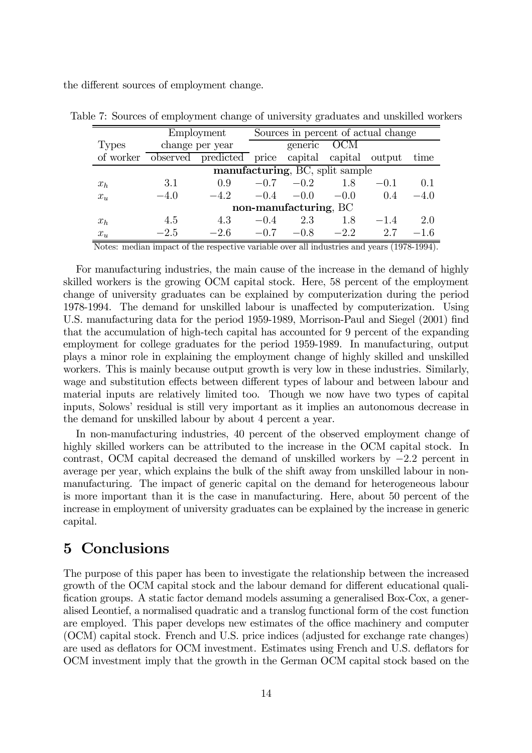the different sources of employment change.

|              | Employment            |                                                 |        |                                 |        | Sources in percent of actual change |        |
|--------------|-----------------------|-------------------------------------------------|--------|---------------------------------|--------|-------------------------------------|--------|
| <b>Types</b> | change per year       |                                                 |        | generic OCM                     |        |                                     |        |
| of worker    |                       | observed predicted price capital capital output |        |                                 |        |                                     | time   |
|              |                       |                                                 |        | manufacturing, BC, split sample |        |                                     |        |
| $x_h$        | 3.1                   | 0.9                                             | $-0.7$ | $-0.2$                          | 1.8    | $-0.1$                              | 0.1    |
| $x_u$        | $-4.0$                | $-4.2$                                          | $-0.4$ | $-0.0$                          | $-0.0$ | 0.4                                 | $-4.0$ |
|              | non-manufacturing, BC |                                                 |        |                                 |        |                                     |        |
| $x_h$        | 4.5                   | 4.3                                             | $-0.4$ | 2.3                             | 1.8    | $-1.4$                              | 2.0    |
| $x_u$        | $-2.5$                | $-2.6$                                          | $-0.7$ | $-0.8$                          | $-2.2$ | 2.7                                 | $-1.6$ |

Table 7: Sources of employment change of university graduates and unskilled workers

Notes: median impact of the respective variable over all industries and years (1978-1994).

For manufacturing industries, the main cause of the increase in the demand of highly skilled workers is the growing OCM capital stock. Here, 58 percent of the employment change of university graduates can be explained by computerization during the period 1978-1994. The demand for unskilled labour is unaffected by computerization. Using U.S. manufacturing data for the period 1959-1989, Morrison-Paul and Siegel (2001) find that the accumulation of high-tech capital has accounted for 9 percent of the expanding employment for college graduates for the period 1959-1989. In manufacturing, output plays a minor role in explaining the employment change of highly skilled and unskilled workers. This is mainly because output growth is very low in these industries. Similarly, wage and substitution effects between different types of labour and between labour and material inputs are relatively limited too. Though we now have two types of capital inputs, Solows' residual is still very important as it implies an autonomous decrease in the demand for unskilled labour by about 4 percent a year.

In non-manufacturing industries, 40 percent of the observed employment change of highly skilled workers can be attributed to the increase in the OCM capital stock. In contrast, OCM capital decreased the demand of unskilled workers by −2.2 percent in average per year, which explains the bulk of the shift away from unskilled labour in nonmanufacturing. The impact of generic capital on the demand for heterogeneous labour is more important than it is the case in manufacturing. Here, about 50 percent of the increase in employment of university graduates can be explained by the increase in generic capital.

### 5 Conclusions

The purpose of this paper has been to investigate the relationship between the increased growth of the OCM capital stock and the labour demand for different educational qualification groups. A static factor demand models assuming a generalised Box-Cox, a generalised Leontief, a normalised quadratic and a translog functional form of the cost function are employed. This paper develops new estimates of the office machinery and computer (OCM) capital stock. French and U.S. price indices (adjusted for exchange rate changes) are used as deflators for OCM investment. Estimates using French and U.S. deflators for OCM investment imply that the growth in the German OCM capital stock based on the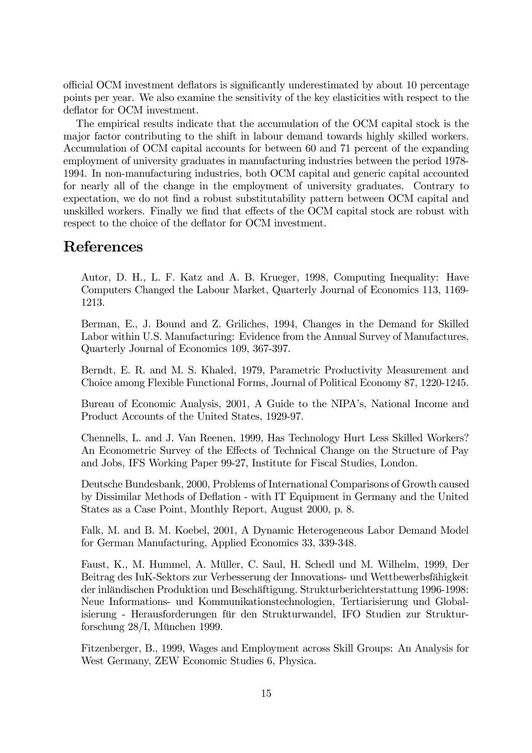official OCM investment deflators is significantly underestimated by about 10 percentage points per year. We also examine the sensitivity of the key elasticities with respect to the deflator for OCM investment.

The empirical results indicate that the accumulation of the OCM capital stock is the major factor contributing to the shift in labour demand towards highly skilled workers. Accumulation of OCM capital accounts for between 60 and 71 percent of the expanding employment of university graduates in manufacturing industries between the period 1978- 1994. In non-manufacturing industries, both OCM capital and generic capital accounted for nearly all of the change in the employment of university graduates. Contrary to expectation, we do not find a robust substitutability pattern between OCM capital and unskilled workers. Finally we find that effects of the OCM capital stock are robust with respect to the choice of the deflator for OCM investment.

#### References

Autor, D. H., L. F. Katz and A. B. Krueger, 1998, Computing Inequality: Have Computers Changed the Labour Market, Quarterly Journal of Economics 113, 1169- 1213.

Berman, E., J. Bound and Z. Griliches, 1994, Changes in the Demand for Skilled Labor within U.S. Manufacturing: Evidence from the Annual Survey of Manufactures, Quarterly Journal of Economics 109, 367-397.

Berndt, E. R. and M. S. Khaled, 1979, Parametric Productivity Measurement and Choice among Flexible Functional Forms, Journal of Political Economy 87, 1220-1245.

Bureau of Economic Analysis, 2001, A Guide to the NIPA's, National Income and Product Accounts of the United States, 1929-97.

Chennells, L. and J. Van Reenen, 1999, Has Technology Hurt Less Skilled Workers? An Econometric Survey of the Effects of Technical Change on the Structure of Pay and Jobs, IFS Working Paper 99-27, Institute for Fiscal Studies, London.

Deutsche Bundesbank, 2000, Problems of International Comparisons of Growth caused by Dissimilar Methods of Deflation - with IT Equipment in Germany and the United States as a Case Point, Monthly Report, August 2000, p. 8.

Falk, M. and B. M. Koebel, 2001, A Dynamic Heterogeneous Labor Demand Model for German Manufacturing, Applied Economics 33, 339-348.

Faust, K., M. Hummel, A. Müller, C. Saul, H. Schedl und M. Wilhelm, 1999, Der Beitrag des IuK-Sektors zur Verbesserung der Innovations- und Wettbewerbsfähigkeit der inländischen Produktion und Beschäftigung. Strukturberichterstattung 1996-1998: Neue Informations- und Kommunikationstechnologien, Tertiarisierung und Globalisierung - Herausforderungen für den Strukturwandel, IFO Studien zur Strukturforschung 28/I, München 1999.

Fitzenberger, B., 1999, Wages and Employment across Skill Groups: An Analysis for West Germany, ZEW Economic Studies 6, Physica.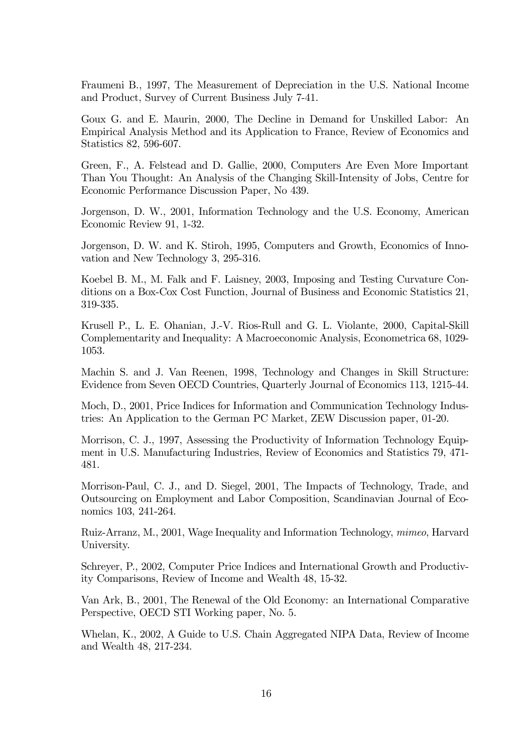Fraumeni B., 1997, The Measurement of Depreciation in the U.S. National Income and Product, Survey of Current Business July 7-41.

Goux G. and E. Maurin, 2000, The Decline in Demand for Unskilled Labor: An Empirical Analysis Method and its Application to France, Review of Economics and Statistics 82, 596-607.

Green, F., A. Felstead and D. Gallie, 2000, Computers Are Even More Important Than You Thought: An Analysis of the Changing Skill-Intensity of Jobs, Centre for Economic Performance Discussion Paper, No 439.

Jorgenson, D. W., 2001, Information Technology and the U.S. Economy, American Economic Review 91, 1-32.

Jorgenson, D. W. and K. Stiroh, 1995, Computers and Growth, Economics of Innovation and New Technology 3, 295-316.

Koebel B. M., M. Falk and F. Laisney, 2003, Imposing and Testing Curvature Conditions on a Box-Cox Cost Function, Journal of Business and Economic Statistics 21, 319-335.

Krusell P., L. E. Ohanian, J.-V. Rios-Rull and G. L. Violante, 2000, Capital-Skill Complementarity and Inequality: A Macroeconomic Analysis, Econometrica 68, 1029- 1053.

Machin S. and J. Van Reenen, 1998, Technology and Changes in Skill Structure: Evidence from Seven OECD Countries, Quarterly Journal of Economics 113, 1215-44.

Moch, D., 2001, Price Indices for Information and Communication Technology Industries: An Application to the German PC Market, ZEW Discussion paper, 01-20.

Morrison, C. J., 1997, Assessing the Productivity of Information Technology Equipment in U.S. Manufacturing Industries, Review of Economics and Statistics 79, 471- 481.

Morrison-Paul, C. J., and D. Siegel, 2001, The Impacts of Technology, Trade, and Outsourcing on Employment and Labor Composition, Scandinavian Journal of Economics 103, 241-264.

Ruiz-Arranz, M., 2001, Wage Inequality and Information Technology, mimeo, Harvard University.

Schreyer, P., 2002, Computer Price Indices and International Growth and Productivity Comparisons, Review of Income and Wealth 48, 15-32.

Van Ark, B., 2001, The Renewal of the Old Economy: an International Comparative Perspective, OECD STI Working paper, No. 5.

Whelan, K., 2002, A Guide to U.S. Chain Aggregated NIPA Data, Review of Income and Wealth 48, 217-234.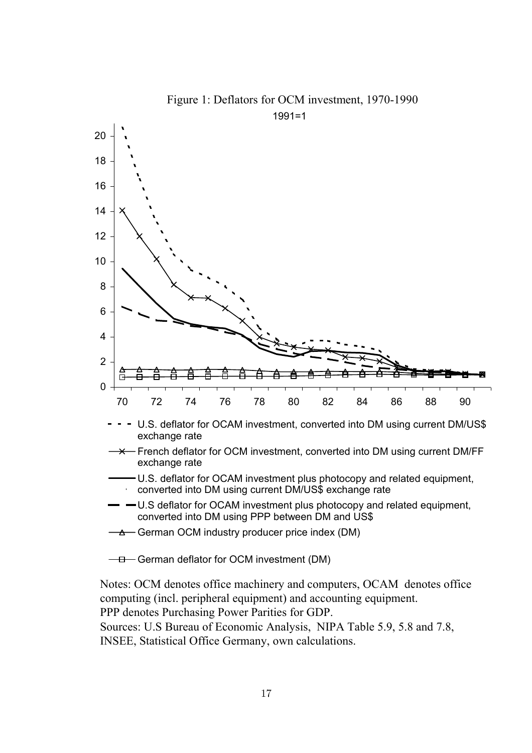

Figure 1: Deflators for OCM investment, 1970-1990

Notes: OCM denotes office machinery and computers, OCAM denotes office computing (incl. peripheral equipment) and accounting equipment. PPP denotes Purchasing Power Parities for GDP.

Sources: U.S Bureau of Economic Analysis, NIPA Table 5.9, 5.8 and 7.8, INSEE, Statistical Office Germany, own calculations.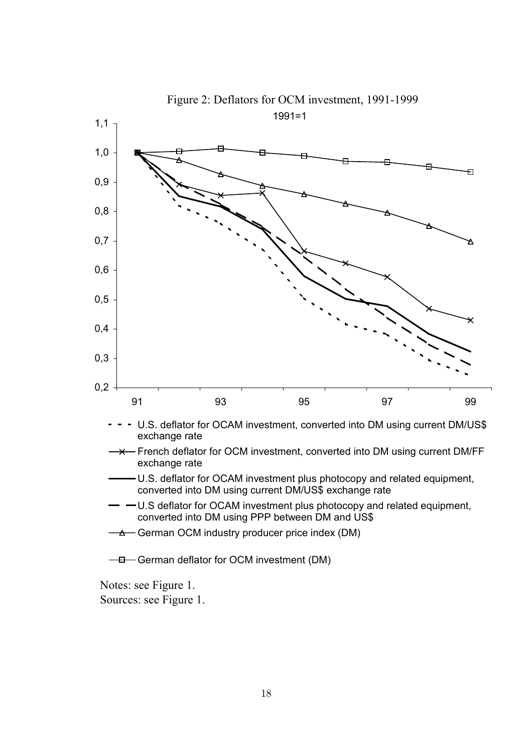

1991=1 Figure 2: Deflators for OCM investment, 1991-1999

Notes: see Figure 1.

Sources: see Figure 1.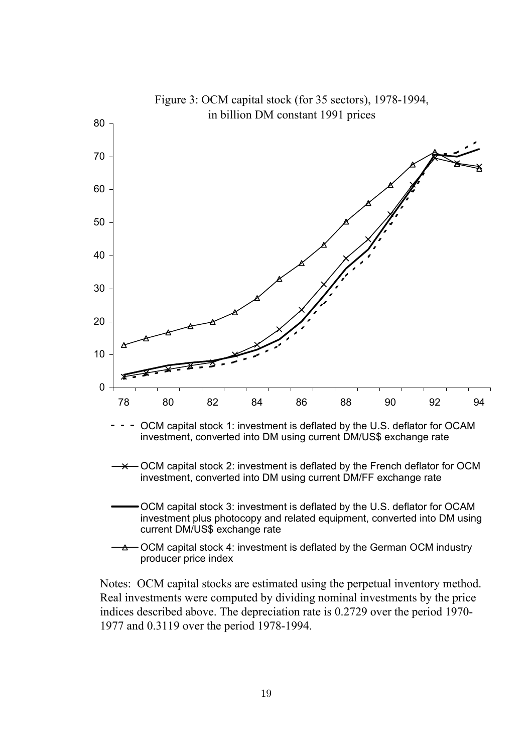

Notes: OCM capital stocks are estimated using the perpetual inventory method. Real investments were computed by dividing nominal investments by the price indices described above. The depreciation rate is 0.2729 over the period 1970- 1977 and 0.3119 over the period 1978-1994.